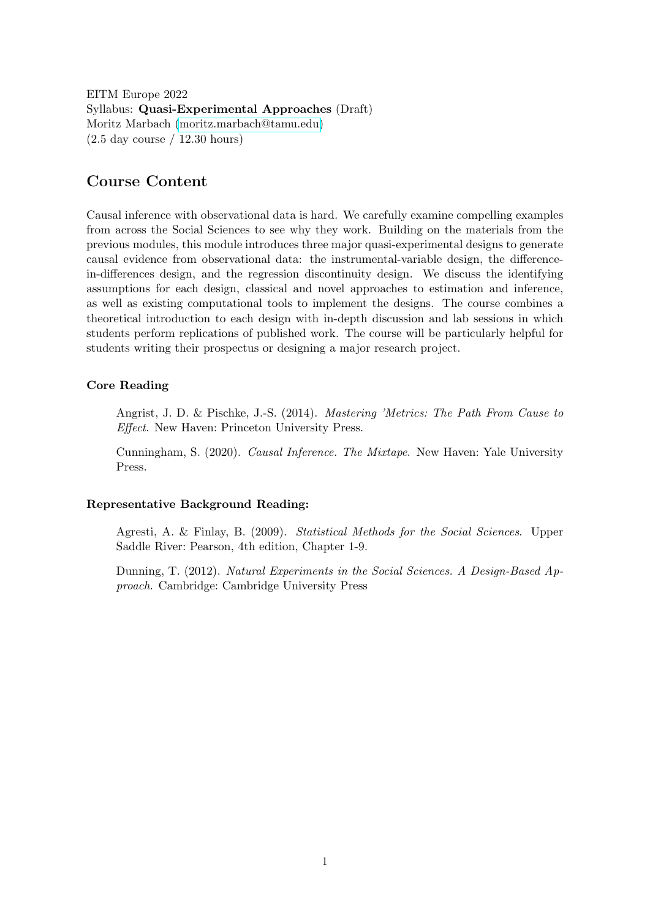EITM Europe 2022 Syllabus: Quasi-Experimental Approaches (Draft) Moritz Marbach [\(moritz.marbach@tamu.edu\)](mailto:moritz.marbach@tamu.edu) (2.5 day course / 12.30 hours)

## Course Content

Causal inference with observational data is hard. We carefully examine compelling examples from across the Social Sciences to see why they work. Building on the materials from the previous modules, this module introduces three major quasi-experimental designs to generate causal evidence from observational data: the instrumental-variable design, the differencein-differences design, and the regression discontinuity design. We discuss the identifying assumptions for each design, classical and novel approaches to estimation and inference, as well as existing computational tools to implement the designs. The course combines a theoretical introduction to each design with in-depth discussion and lab sessions in which students perform replications of published work. The course will be particularly helpful for students writing their prospectus or designing a major research project.

## Core Reading

Angrist, J. D. & Pischke, J.-S. (2014). Mastering 'Metrics: The Path From Cause to Effect. New Haven: Princeton University Press.

Cunningham, S. (2020). Causal Inference. The Mixtape. New Haven: Yale University Press.

### Representative Background Reading:

Agresti, A. & Finlay, B. (2009). Statistical Methods for the Social Sciences. Upper Saddle River: Pearson, 4th edition, Chapter 1-9.

Dunning, T. (2012). Natural Experiments in the Social Sciences. A Design-Based Approach. Cambridge: Cambridge University Press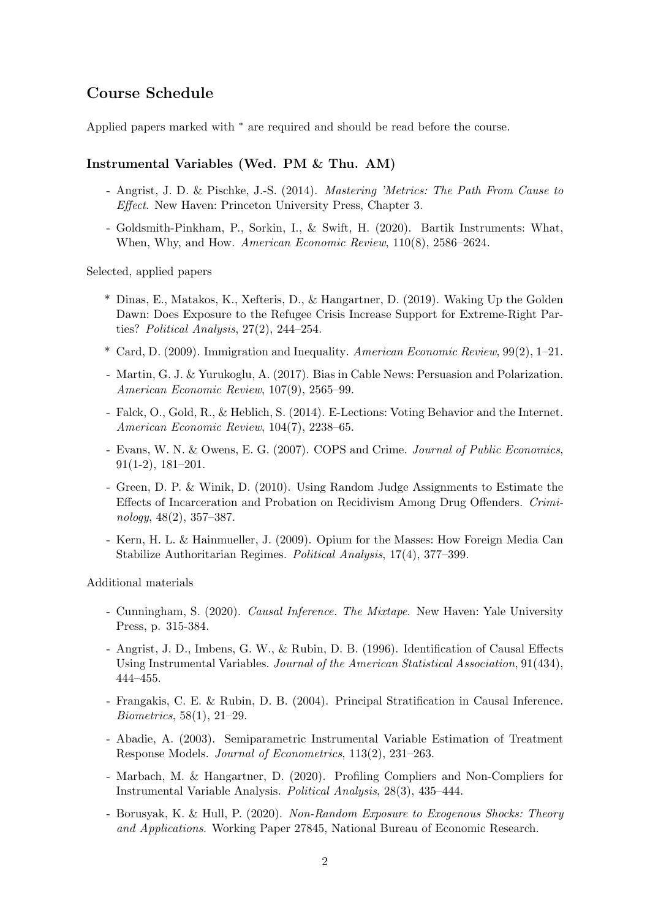# Course Schedule

Applied papers marked with <sup>∗</sup> are required and should be read before the course.

## Instrumental Variables (Wed. PM & Thu. AM)

- Angrist, J. D. & Pischke, J.-S. (2014). Mastering 'Metrics: The Path From Cause to Effect. New Haven: Princeton University Press, Chapter 3.
- Goldsmith-Pinkham, P., Sorkin, I., & Swift, H. (2020). Bartik Instruments: What, When, Why, and How. American Economic Review, 110(8), 2586–2624.

Selected, applied papers

- \* Dinas, E., Matakos, K., Xefteris, D., & Hangartner, D. (2019). Waking Up the Golden Dawn: Does Exposure to the Refugee Crisis Increase Support for Extreme-Right Parties? Political Analysis, 27(2), 244–254.
- \* Card, D. (2009). Immigration and Inequality. American Economic Review, 99(2), 1–21.
- Martin, G. J. & Yurukoglu, A. (2017). Bias in Cable News: Persuasion and Polarization. American Economic Review, 107(9), 2565–99.
- Falck, O., Gold, R., & Heblich, S. (2014). E-Lections: Voting Behavior and the Internet. American Economic Review, 104(7), 2238–65.
- Evans, W. N. & Owens, E. G. (2007). COPS and Crime. Journal of Public Economics, 91(1-2), 181–201.
- Green, D. P. & Winik, D. (2010). Using Random Judge Assignments to Estimate the Effects of Incarceration and Probation on Recidivism Among Drug Offenders. Criminology, 48(2), 357–387.
- Kern, H. L. & Hainmueller, J. (2009). Opium for the Masses: How Foreign Media Can Stabilize Authoritarian Regimes. Political Analysis, 17(4), 377–399.

Additional materials

- Cunningham, S. (2020). Causal Inference. The Mixtape. New Haven: Yale University Press, p. 315-384.
- Angrist, J. D., Imbens, G. W., & Rubin, D. B. (1996). Identification of Causal Effects Using Instrumental Variables. Journal of the American Statistical Association, 91(434), 444–455.
- Frangakis, C. E. & Rubin, D. B. (2004). Principal Stratification in Causal Inference. Biometrics, 58(1), 21–29.
- Abadie, A. (2003). Semiparametric Instrumental Variable Estimation of Treatment Response Models. Journal of Econometrics, 113(2), 231–263.
- Marbach, M. & Hangartner, D. (2020). Profiling Compliers and Non-Compliers for Instrumental Variable Analysis. Political Analysis, 28(3), 435–444.
- Borusyak, K. & Hull, P. (2020). Non-Random Exposure to Exogenous Shocks: Theory and Applications. Working Paper 27845, National Bureau of Economic Research.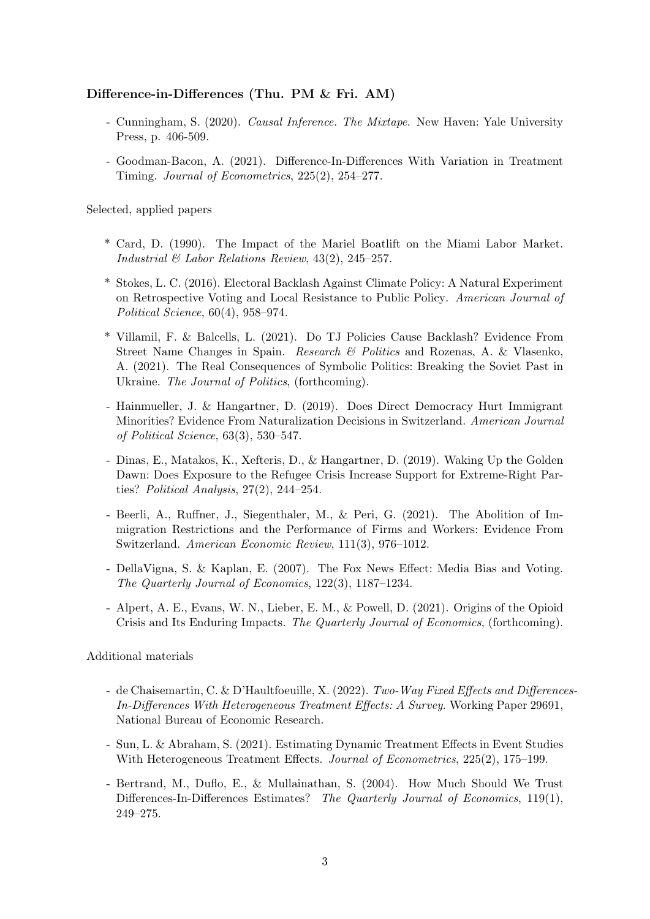## Difference-in-Differences (Thu. PM & Fri. AM)

- Cunningham, S. (2020). Causal Inference. The Mixtape. New Haven: Yale University Press, p. 406-509.
- Goodman-Bacon, A. (2021). Difference-In-Differences With Variation in Treatment Timing. Journal of Econometrics, 225(2), 254–277.

Selected, applied papers

- \* Card, D. (1990). The Impact of the Mariel Boatlift on the Miami Labor Market. Industrial & Labor Relations Review, 43(2), 245–257.
- \* Stokes, L. C. (2016). Electoral Backlash Against Climate Policy: A Natural Experiment on Retrospective Voting and Local Resistance to Public Policy. American Journal of Political Science, 60(4), 958–974.
- \* Villamil, F. & Balcells, L. (2021). Do TJ Policies Cause Backlash? Evidence From Street Name Changes in Spain. Research & Politics and Rozenas, A. & Vlasenko, A. (2021). The Real Consequences of Symbolic Politics: Breaking the Soviet Past in Ukraine. The Journal of Politics, (forthcoming).
- Hainmueller, J. & Hangartner, D. (2019). Does Direct Democracy Hurt Immigrant Minorities? Evidence From Naturalization Decisions in Switzerland. American Journal of Political Science, 63(3), 530–547.
- Dinas, E., Matakos, K., Xefteris, D., & Hangartner, D. (2019). Waking Up the Golden Dawn: Does Exposure to the Refugee Crisis Increase Support for Extreme-Right Parties? Political Analysis, 27(2), 244–254.
- Beerli, A., Ruffner, J., Siegenthaler, M., & Peri, G. (2021). The Abolition of Immigration Restrictions and the Performance of Firms and Workers: Evidence From Switzerland. American Economic Review, 111(3), 976–1012.
- DellaVigna, S. & Kaplan, E. (2007). The Fox News Effect: Media Bias and Voting. The Quarterly Journal of Economics, 122(3), 1187–1234.
- Alpert, A. E., Evans, W. N., Lieber, E. M., & Powell, D. (2021). Origins of the Opioid Crisis and Its Enduring Impacts. The Quarterly Journal of Economics, (forthcoming).

Additional materials

- de Chaisemartin, C. & D'Haultfoeuille, X. (2022). Two-Way Fixed Effects and Differences-In-Differences With Heterogeneous Treatment Effects: A Survey. Working Paper 29691, National Bureau of Economic Research.
- Sun, L. & Abraham, S. (2021). Estimating Dynamic Treatment Effects in Event Studies With Heterogeneous Treatment Effects. Journal of Econometrics, 225(2), 175–199.
- Bertrand, M., Duflo, E., & Mullainathan, S. (2004). How Much Should We Trust Differences-In-Differences Estimates? The Quarterly Journal of Economics, 119(1), 249–275.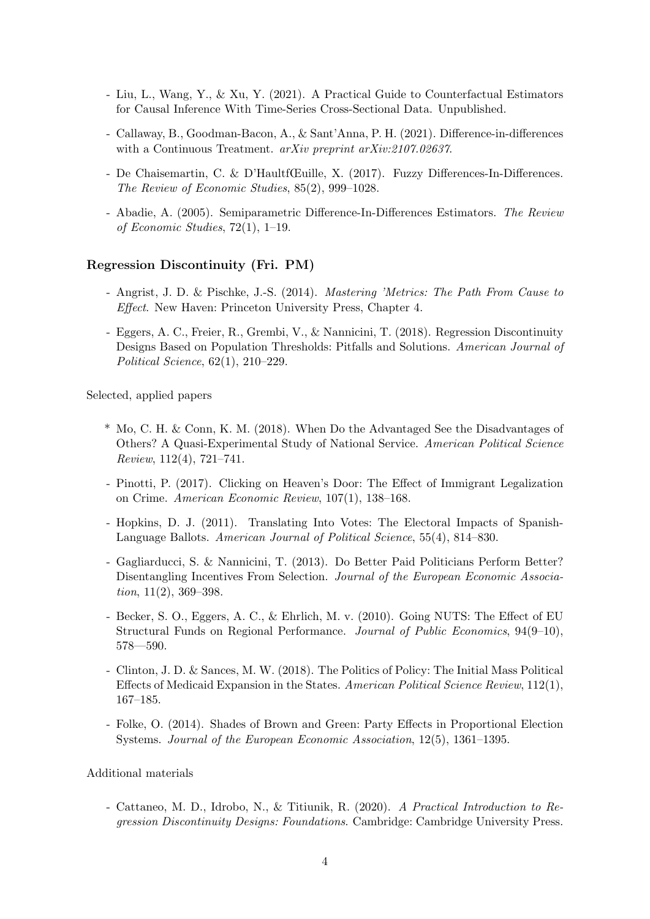- Liu, L., Wang, Y., & Xu, Y. (2021). A Practical Guide to Counterfactual Estimators for Causal Inference With Time-Series Cross-Sectional Data. Unpublished.
- Callaway, B., Goodman-Bacon, A., & Sant'Anna, P. H. (2021). Difference-in-differences with a Continuous Treatment. arXiv preprint arXiv:2107.02637.
- De Chaisemartin, C. & D'Haultf(Euille, X. (2017). Fuzzy Differences-In-Differences. The Review of Economic Studies, 85(2), 999–1028.
- Abadie, A. (2005). Semiparametric Difference-In-Differences Estimators. The Review of Economic Studies, 72(1), 1–19.

### Regression Discontinuity (Fri. PM)

- Angrist, J. D. & Pischke, J.-S. (2014). Mastering 'Metrics: The Path From Cause to Effect. New Haven: Princeton University Press, Chapter 4.
- Eggers, A. C., Freier, R., Grembi, V., & Nannicini, T. (2018). Regression Discontinuity Designs Based on Population Thresholds: Pitfalls and Solutions. American Journal of Political Science, 62(1), 210–229.

Selected, applied papers

- \* Mo, C. H. & Conn, K. M. (2018). When Do the Advantaged See the Disadvantages of Others? A Quasi-Experimental Study of National Service. American Political Science Review, 112(4), 721–741.
- Pinotti, P. (2017). Clicking on Heaven's Door: The Effect of Immigrant Legalization on Crime. American Economic Review, 107(1), 138–168.
- Hopkins, D. J. (2011). Translating Into Votes: The Electoral Impacts of Spanish-Language Ballots. American Journal of Political Science, 55(4), 814–830.
- Gagliarducci, S. & Nannicini, T. (2013). Do Better Paid Politicians Perform Better? Disentangling Incentives From Selection. Journal of the European Economic Association, 11(2), 369–398.
- Becker, S. O., Eggers, A. C., & Ehrlich, M. v. (2010). Going NUTS: The Effect of EU Structural Funds on Regional Performance. Journal of Public Economics, 94(9–10), 578—590.
- Clinton, J. D. & Sances, M. W. (2018). The Politics of Policy: The Initial Mass Political Effects of Medicaid Expansion in the States. American Political Science Review, 112(1), 167–185.
- Folke, O. (2014). Shades of Brown and Green: Party Effects in Proportional Election Systems. Journal of the European Economic Association, 12(5), 1361–1395.

### Additional materials

- Cattaneo, M. D., Idrobo, N., & Titiunik, R. (2020). A Practical Introduction to Regression Discontinuity Designs: Foundations. Cambridge: Cambridge University Press.